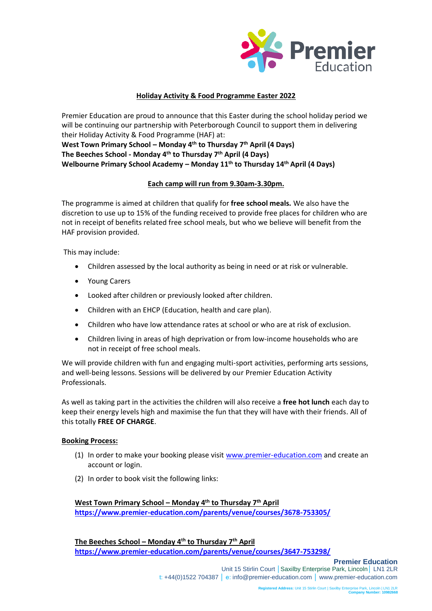

## **Holiday Activity & Food Programme Easter 2022**

Premier Education are proud to announce that this Easter during the school holiday period we will be continuing our partnership with Peterborough Council to support them in delivering their Holiday Activity & Food Programme (HAF) at: **West Town Primary School – Monday 4th to Thursday 7th April (4 Days)**

**The Beeches School - Monday 4th to Thursday 7th April (4 Days)**

**Welbourne Primary School Academy – Monday 11 th to Thursday 14th April (4 Days)**

## **Each camp will run from 9.30am-3.30pm.**

The programme is aimed at children that qualify for **free school meals.** We also have the discretion to use up to 15% of the funding received to provide free places for children who are not in receipt of benefits related free school meals, but who we believe will benefit from the HAF provision provided.

This may include:

- Children assessed by the local authority as being in need or at risk or vulnerable.
- Young Carers
- Looked after children or previously looked after children.
- Children with an EHCP (Education, health and care plan).
- Children who have low attendance rates at school or who are at risk of exclusion.
- Children living in areas of high deprivation or from low-income households who are not in receipt of free school meals.

We will provide children with fun and engaging multi-sport activities, performing arts sessions, and well-being lessons. Sessions will be delivered by our Premier Education Activity Professionals.

As well as taking part in the activities the children will also receive a **free hot lunch** each day to keep their energy levels high and maximise the fun that they will have with their friends. All of this totally **FREE OF CHARGE**.

## **Booking Process:**

- (1) In order to make your booking please visit [www.premier-education.com](http://www.premier-education.com/) and create an account or login.
- (2) In order to book visit the following links:

**West Town Primary School – Monday 4th to Thursday 7th April <https://www.premier-education.com/parents/venue/courses/3678-753305/>**

**The Beeches School – Monday 4th to Thursday 7th April <https://www.premier-education.com/parents/venue/courses/3647-753298/>**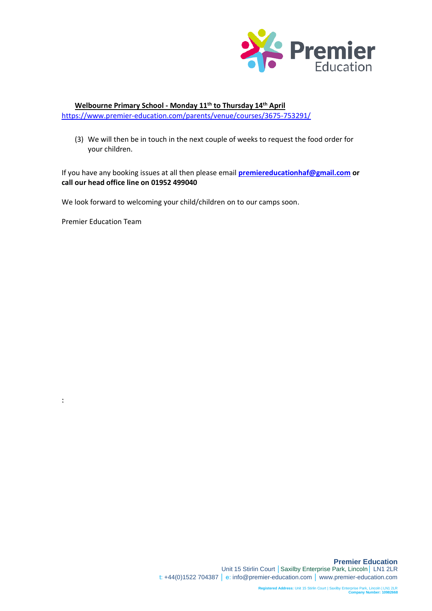

## **Welbourne Primary School - Monday 11th to Thursday 14th April** <https://www.premier-education.com/parents/venue/courses/3675-753291/>

(3) We will then be in touch in the next couple of weeks to request the food order for your children.

If you have any booking issues at all then please email **[premiereducationhaf@gmail.com](mailto:premiereducationhaf@gmail.com) or call our head office line on 01952 499040**

We look forward to welcoming your child/children on to our camps soon.

Premier Education Team

: